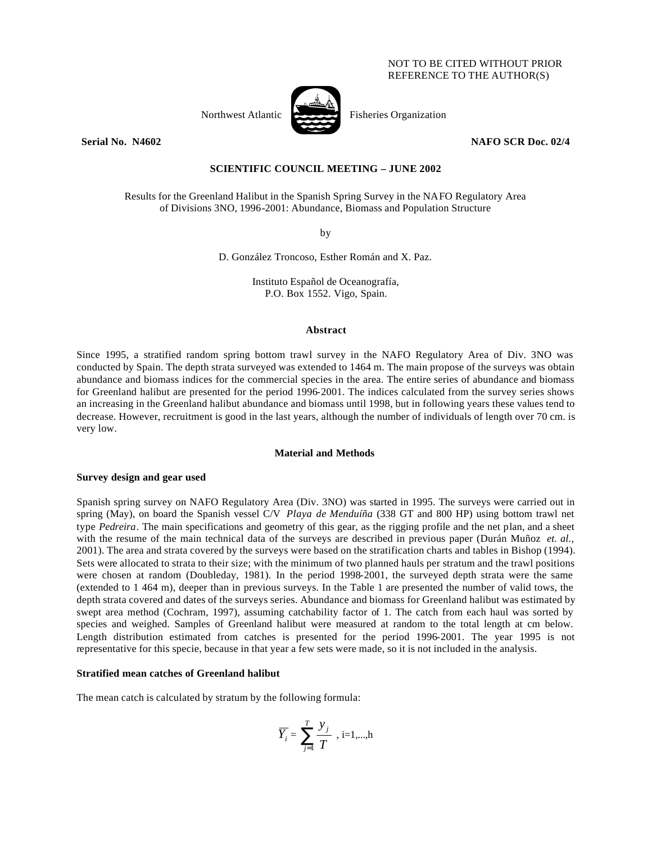# NOT TO BE CITED WITHOUT PRIOR REFERENCE TO THE AUTHOR(S)



Northwest Atlantic **Property** Fisheries Organization

# **Serial No. N4602 NAFO SCR Doc. 02/4**

# **SCIENTIFIC COUNCIL MEETING – JUNE 2002**

Results for the Greenland Halibut in the Spanish Spring Survey in the NAFO Regulatory Area of Divisions 3NO, 1996-2001: Abundance, Biomass and Population Structure

by

D. González Troncoso, Esther Román and X. Paz.

Instituto Español de Oceanografía, P.O. Box 1552. Vigo, Spain.

## **Abstract**

Since 1995, a stratified random spring bottom trawl survey in the NAFO Regulatory Area of Div. 3NO was conducted by Spain. The depth strata surveyed was extended to 1464 m. The main propose of the surveys was obtain abundance and biomass indices for the commercial species in the area. The entire series of abundance and biomass for Greenland halibut are presented for the period 1996-2001. The indices calculated from the survey series shows an increasing in the Greenland halibut abundance and biomass until 1998, but in following years these values tend to decrease. However, recruitment is good in the last years, although the number of individuals of length over 70 cm. is very low.

#### **Material and Methods**

#### **Survey design and gear used**

Spanish spring survey on NAFO Regulatory Area (Div. 3NO) was started in 1995. The surveys were carried out in spring (May), on board the Spanish vessel C/V *Playa de Menduíña* (338 GT and 800 HP) using bottom trawl net type *Pedreira*. The main specifications and geometry of this gear, as the rigging profile and the net plan, and a sheet with the resume of the main technical data of the surveys are described in previous paper (Durán Muñoz *et. al.,* 2001). The area and strata covered by the surveys were based on the stratification charts and tables in Bishop (1994). Sets were allocated to strata to their size; with the minimum of two planned hauls per stratum and the trawl positions were chosen at random (Doubleday, 1981). In the period 1998-2001, the surveyed depth strata were the same (extended to 1 464 m), deeper than in previous surveys. In the Table 1 are presented the number of valid tows, the depth strata covered and dates of the surveys series. Abundance and biomass for Greenland halibut was estimated by swept area method (Cochram, 1997), assuming catchability factor of 1. The catch from each haul was sorted by species and weighed. Samples of Greenland halibut were measured at random to the total length at cm below. Length distribution estimated from catches is presented for the period 1996-2001. The year 1995 is not representative for this specie, because in that year a few sets were made, so it is not included in the analysis.

## **Stratified mean catches of Greenland halibut**

The mean catch is calculated by stratum by the following formula:

$$
\overline{Y}_i = \sum_{j=1}^T \frac{y_j}{T} , i=1,...,h
$$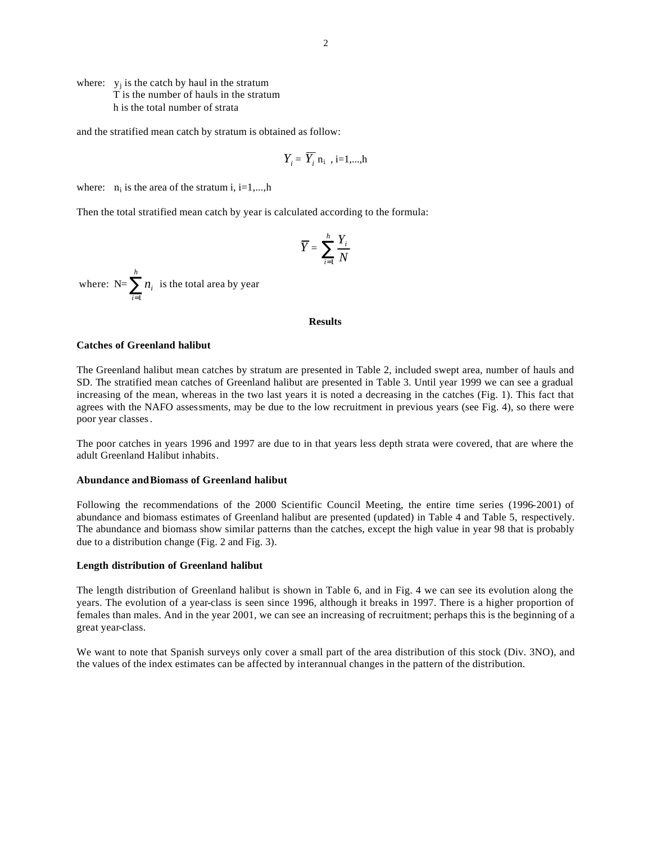where:  $y_j$  is the catch by haul in the stratum T is the number of hauls in the stratum h is the total number of strata

and the stratified mean catch by stratum is obtained as follow:

$$
Y_i = \overline{Y}_i \, \mathbf{n}_i \, , i=1,...,h
$$

where:  $n_i$  is the area of the stratum i, i=1,...,h

Then the total stratified mean catch by year is calculated according to the formula:

$$
\overline{Y} = \sum_{i=1}^{h} \frac{Y_i}{N}
$$

where:  $N=\sum_{i=1}^{\infty}$ *h i ni* 1 is the total area by year

## **Results**

#### **Catches of Greenland halibut**

The Greenland halibut mean catches by stratum are presented in Table 2, included swept area, number of hauls and SD. The stratified mean catches of Greenland halibut are presented in Table 3. Until year 1999 we can see a gradual increasing of the mean, whereas in the two last years it is noted a decreasing in the catches (Fig. 1). This fact that agrees with the NAFO assessments, may be due to the low recruitment in previous years (see Fig. 4), so there were poor year classes*.*

The poor catches in years 1996 and 1997 are due to in that years less depth strata were covered, that are where the adult Greenland Halibut inhabits.

#### **Abundance andBiomass of Greenland halibut**

Following the recommendations of the 2000 Scientific Council Meeting, the entire time series (1996-2001) of abundance and biomass estimates of Greenland halibut are presented (updated) in Table 4 and Table 5, respectively. The abundance and biomass show similar patterns than the catches, except the high value in year 98 that is probably due to a distribution change (Fig. 2 and Fig. 3).

#### **Length distribution of Greenland halibut**

The length distribution of Greenland halibut is shown in Table 6, and in Fig. 4 we can see its evolution along the years. The evolution of a year-class is seen since 1996, although it breaks in 1997. There is a higher proportion of females than males. And in the year 2001, we can see an increasing of recruitment; perhaps this is the beginning of a great year-class.

We want to note that Spanish surveys only cover a small part of the area distribution of this stock (Div. 3NO), and the values of the index estimates can be affected by interannual changes in the pattern of the distribution.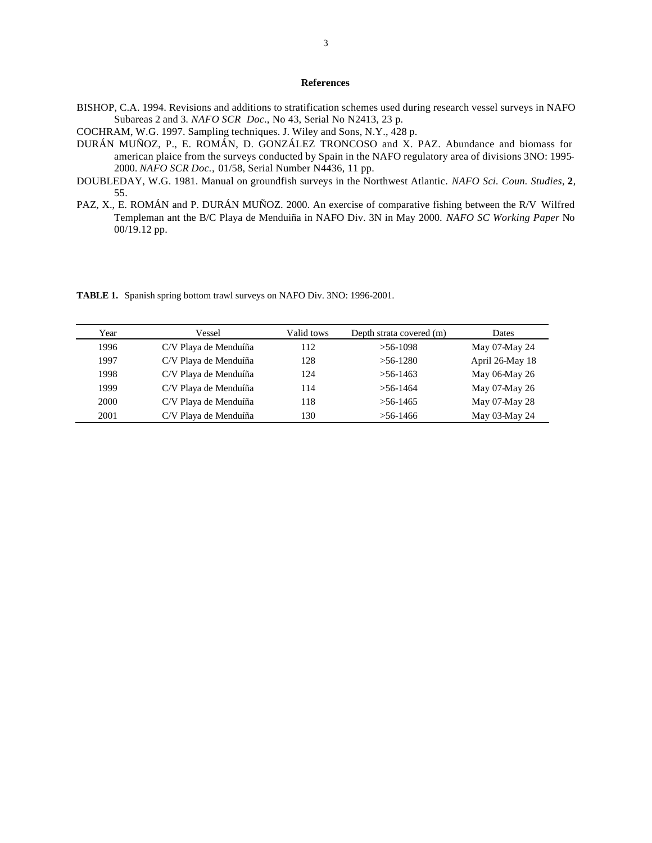# **References**

- BISHOP, C.A. 1994. Revisions and additions to stratification schemes used during research vessel surveys in NAFO Subareas 2 and 3*. NAFO SCR Doc*., No 43, Serial No N2413, 23 p.
- COCHRAM, W.G. 1997. Sampling techniques. J. Wiley and Sons, N.Y., 428 p.
- DURÁN MUÑOZ, P., E. ROMÁN, D. GONZÁLEZ TRONCOSO and X. PAZ. Abundance and biomass for american plaice from the surveys conducted by Spain in the NAFO regulatory area of divisions 3NO: 1995- 2000. *NAFO SCR Doc.,* 01/58, Serial Number N4436, 11 pp.
- DOUBLEDAY, W.G. 1981. Manual on groundfish surveys in the Northwest Atlantic. *NAFO Sci. Coun. Studies*, **2**, 55.
- PAZ, X., E. ROMÁN and P. DURÁN MUÑOZ. 2000. An exercise of comparative fishing between the R/V Wilfred Templeman ant the B/C Playa de Menduiña in NAFO Div. 3N in May 2000. *NAFO SC Working Paper* No 00/19.12 pp.

**TABLE 1.** Spanish spring bottom trawl surveys on NAFO Div. 3NO: 1996-2001.

| Year | Vessel                | Valid tows | Depth strata covered (m) | Dates           |
|------|-----------------------|------------|--------------------------|-----------------|
| 1996 | C/V Playa de Menduíña | 112        | $> 56-1098$              | May 07-May 24   |
| 1997 | C/V Playa de Menduíña | 128        | $>56-1280$               | April 26-May 18 |
| 1998 | C/V Playa de Menduíña | 124        | $> 56 - 1463$            | May 06-May 26   |
| 1999 | C/V Playa de Menduíña | 114        | $> 56 - 1464$            | May 07-May 26   |
| 2000 | C/V Playa de Menduíña | 118        | $> 56 - 1465$            | May 07-May 28   |
| 2001 | C/V Playa de Menduíña | 130        | $>56-1466$               | May 03-May 24   |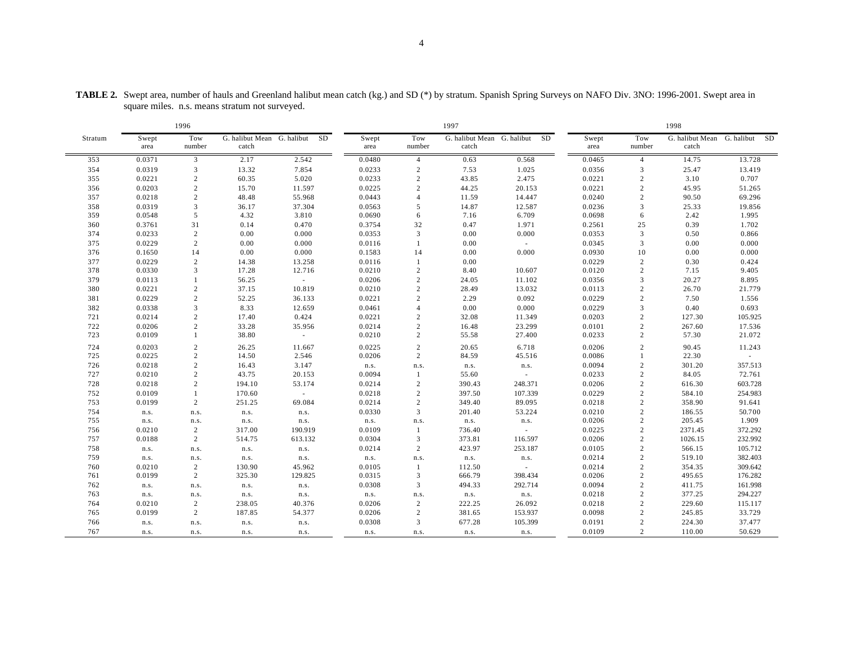|         | 1996          |                |                                     |                     | 1997          |                |                                     |              |               | 1998             |         |                               |  |
|---------|---------------|----------------|-------------------------------------|---------------------|---------------|----------------|-------------------------------------|--------------|---------------|------------------|---------|-------------------------------|--|
| Stratum | Swept<br>area | Tow<br>number  | G. halibut Mean G. halibut<br>catch | SD                  | Swept<br>area | Tow<br>number  | G. halibut Mean G. halibut<br>catch | SD           | Swept<br>area | Tow<br>number    | catch   | G. halibut Mean G. halibut SD |  |
| 353     | 0.0371        | 3              | 2.17                                | 2.542               | 0.0480        | $\overline{4}$ | 0.63                                | 0.568        | 0.0465        | $\overline{4}$   | 14.75   | 13.728                        |  |
| 354     | 0.0319        | 3              | 13.32                               | 7.854               | 0.0233        | $\sqrt{2}$     | 7.53                                | 1.025        | 0.0356        | 3                | 25.47   | 13.419                        |  |
| 355     | 0.0221        | 2              | 60.35                               | 5.020               | 0.0233        | 2              | 43.85                               | 2.475        | 0.0221        | 2                | 3.10    | 0.707                         |  |
| 356     | 0.0203        | $\overline{c}$ | 15.70                               | 11.597              | 0.0225        | 2              | 44.25                               | 20.153       | 0.0221        | $\sqrt{2}$       | 45.95   | 51.265                        |  |
| 357     | 0.0218        | $\overline{c}$ | 48.48                               | 55.968              | 0.0443        | $\overline{4}$ | 11.59                               | 14.447       | 0.0240        | $\sqrt{2}$       | 90.50   | 69.296                        |  |
| 358     | 0.0319        | 3              | 36.17                               | 37.304              | 0.0563        | 5              | 14.87                               | 12.587       | 0.0236        | 3                | 25.33   | 19.856                        |  |
| 359     | 0.0548        | 5              | 4.32                                | 3.810               | 0.0690        | 6              | 7.16                                | 6.709        | 0.0698        | 6                | 2.42    | 1.995                         |  |
| 360     | 0.3761        | 31             | 0.14                                | 0.470               | 0.3754        | 32             | 0.47                                | 1.971        | 0.2561        | 25               | 0.39    | 1.702                         |  |
| 374     | 0.0233        | $\overline{c}$ | 0.00                                | $0.000\,$           | 0.0353        | $\overline{3}$ | 0.00                                | 0.000        | 0.0353        | 3                | 0.50    | 0.866                         |  |
| 375     | 0.0229        | $\sqrt{2}$     | 0.00                                | 0.000               | 0.0116        | $\mathbf{1}$   | 0.00                                | $\sim$       | 0.0345        | $\mathfrak{Z}$   | 0.00    | 0.000                         |  |
| 376     | 0.1650        | 14             | 0.00                                | 0.000               | 0.1583        | 14             | 0.00                                | 0.000        | 0.0930        | 10               | 0.00    | 0.000                         |  |
| 377     | 0.0229        | $\overline{c}$ | 14.38                               | 13.258              | 0.0116        | $\mathbf{1}$   | 0.00                                |              | 0.0229        | 2                | 0.30    | 0.424                         |  |
| 378     | 0.0330        | 3              | 17.28                               | 12.716              | 0.0210        | 2              | 8.40                                | 10.607       | 0.0120        | $\sqrt{2}$       | 7.15    | 9.405                         |  |
| 379     | 0.0113        | 1              | 56.25                               | $\sim$              | 0.0206        | 2              | 24.05                               | 11.102       | 0.0356        | 3                | 20.27   | 8.895                         |  |
| 380     | 0.0221        | $\overline{c}$ | 37.15                               | 10.819              | 0.0210        | $\sqrt{2}$     | 28.49                               | 13.032       | 0.0113        | $\boldsymbol{2}$ | 26.70   | 21.779                        |  |
| 381     | 0.0229        | $\overline{c}$ | 52.25                               | 36.133              | 0.0221        | $\sqrt{2}$     | 2.29                                | 0.092        | 0.0229        | $\sqrt{2}$       | 7.50    | 1.556                         |  |
| 382     | 0.0338        | 3              | 8.33                                | 12.659              | 0.0461        | $\overline{4}$ | 0.00                                | 0.000        | 0.0229        | 3                | 0.40    | 0.693                         |  |
| 721     | 0.0214        | $\overline{c}$ | 17.40                               | 0.424               | 0.0221        | $\sqrt{2}$     | 32.08                               | 11.349       | 0.0203        | $\boldsymbol{2}$ | 127.30  | 105.925                       |  |
| 722     | 0.0206        | $\overline{c}$ | 33.28                               | 35.956              | 0.0214        | $\overline{c}$ | 16.48                               | 23.299       | 0.0101        | $\sqrt{2}$       | 267.60  | 17.536                        |  |
| 723     | 0.0109        | $\mathbf{1}$   | 38.80                               | $\sim$              | 0.0210        | 2              | 55.58                               | 27.400       | 0.0233        | 2                | 57.30   | 21.072                        |  |
| 724     | 0.0203        | $\overline{c}$ | 26.25                               | 11.667              | 0.0225        | $\sqrt{2}$     | 20.65                               | 6.718        | 0.0206        | $\boldsymbol{2}$ | 90.45   | 11.243                        |  |
| 725     | 0.0225        | $\overline{c}$ | 14.50                               | 2.546               | 0.0206        | 2              | 84.59                               | 45.516       | 0.0086        | 1                | 22.30   |                               |  |
| 726     | 0.0218        | $\overline{c}$ | 16.43                               | 3.147               | n.s.          | n.s.           | n.s.                                | n.s.         | 0.0094        | $\sqrt{2}$       | 301.20  | 357.513                       |  |
| 727     | 0.0210        | 2              | 43.75                               | 20.153              | 0.0094        | -1             | 55.60                               |              | 0.0233        | $\boldsymbol{2}$ | 84.05   | 72.761                        |  |
| 728     | 0.0218        | $\overline{2}$ | 194.10                              | 53.174              | 0.0214        | 2              | 390.43                              | 248.371      | 0.0206        | $\overline{c}$   | 616.30  | 603.728                       |  |
| 752     | 0.0109        | $\mathbf{1}$   | 170.60                              | $\mathcal{L}^{\pm}$ | 0.0218        | $\sqrt{2}$     | 397.50                              | 107.339      | 0.0229        | $\sqrt{2}$       | 584.10  | 254.983                       |  |
| 753     | 0.0199        | $\overline{c}$ | 251.25                              | 69.084              | 0.0214        | 2              | 349.40                              | 89.095       | 0.0218        | $\boldsymbol{2}$ | 358.90  | 91.641                        |  |
| 754     | n.s.          | n.s.           | n.s.                                | n.s.                | 0.0330        | $\overline{3}$ | 201.40                              | 53.224       | 0.0210        | $\boldsymbol{2}$ | 186.55  | 50.700                        |  |
| 755     | n.s.          | n.s.           | n.s.                                | n.s.                | n.s.          | n.s.           | n.s.                                | $\rm n.s.$   | 0.0206        | $\sqrt{2}$       | 205.45  | 1.909                         |  |
| 756     | 0.0210        | 2              | 317.00                              | 190.919             | 0.0109        | -1             | 736.40                              |              | 0.0225        | $\overline{c}$   | 2371.45 | 372.292                       |  |
| 757     | 0.0188        | $\overline{c}$ | 514.75                              | 613.132             | 0.0304        | 3              | 373.81                              | 116.597      | 0.0206        | $\boldsymbol{2}$ | 1026.15 | 232.992                       |  |
| 758     | n.s.          | n.s.           | $\rm n.s.$                          | n.s.                | 0.0214        | 2              | 423.97                              | 253.187      | 0.0105        | $\sqrt{2}$       | 566.15  | 105.712                       |  |
| 759     | n.s.          | n.s.           | n.s.                                | n.s.                | n.s.          | n.s.           | n.s.                                | n.s.         | 0.0214        | $\boldsymbol{2}$ | 519.10  | 382.403                       |  |
| 760     | 0.0210        | $\overline{c}$ | 130.90                              | 45.962              | 0.0105        | -1             | 112.50                              |              | 0.0214        | $\boldsymbol{2}$ | 354.35  | 309.642                       |  |
| 761     | 0.0199        | $\overline{c}$ | 325.30                              | 129.825             | 0.0315        | $\overline{3}$ | 666.79                              | 398.434      | 0.0206        | $\boldsymbol{2}$ | 495.65  | 176.282                       |  |
| 762     | n.s.          | n.s.           | n.s.                                | n.s.                | 0.0308        | 3              | 494.33                              | 292.714      | 0.0094        | $\overline{c}$   | 411.75  | 161.998                       |  |
| 763     | n.s.          | n.s.           | n.s.                                | n.s.                | n.s.          | n.s.           | n.s.                                | ${\tt n.s.}$ | 0.0218        | $\sqrt{2}$       | 377.25  | 294.227                       |  |
| 764     | 0.0210        | $\overline{c}$ | 238.05                              | 40.376              | 0.0206        | 2              | 222.25                              | 26.092       | 0.0218        | $\sqrt{2}$       | 229.60  | 115.117                       |  |
| 765     | 0.0199        | $\overline{2}$ | 187.85                              | 54.377              | 0.0206        | 2              | 381.65                              | 153.937      | 0.0098        | $\boldsymbol{2}$ | 245.85  | 33.729                        |  |
| 766     | n.s.          | n.s.           | n.s.                                | n.s.                | 0.0308        | 3              | 677.28                              | 105.399      | 0.0191        | $\overline{c}$   | 224.30  | 37.477                        |  |
| 767     | n.s.          | n.s.           | n.s.                                | n.s.                | n.s.          | n.s.           | n.s.                                | n.s.         | 0.0109        | 2                | 110.00  | 50.629                        |  |

**TABLE 2.** Swept area, number of hauls and Greenland halibut mean catch (kg.) and SD (\*) by stratum. Spanish Spring Surveys on NAFO Div. 3NO: 1996-2001. Swept area in square miles. n.s. means stratum not surveyed.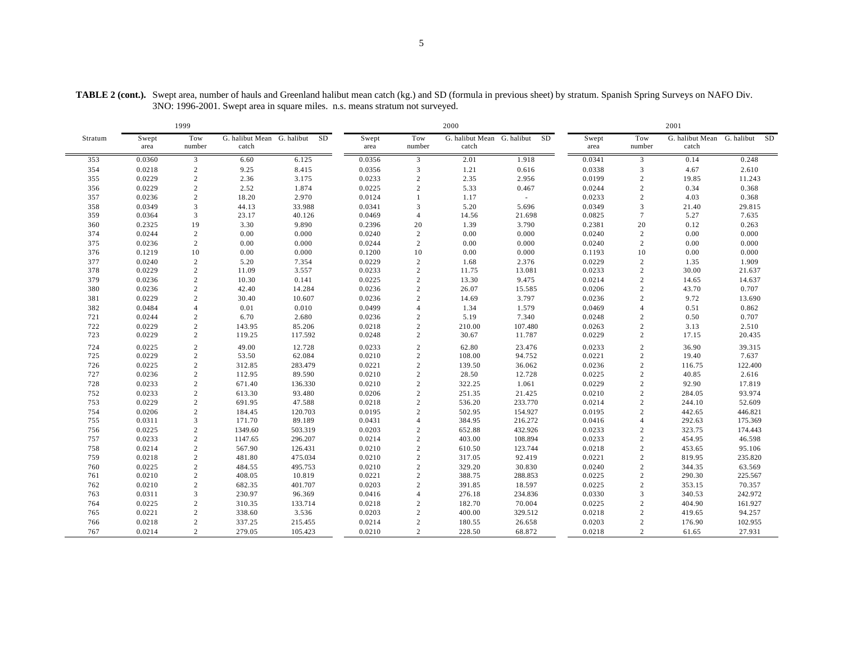2000 2001 Stratum Swept area Tow number G. halibut Mean G. halibut SD Swept catch area Tow number G. halibut Mean G. halibut SD Swept catch area Tow number G. halibut Mean G. halibut SD catch 0.0360 3 6.60 6.125 0.0356 3 2.01 1.918 0.0341 3 0.14 0.248 0.0218 2 9.25 8.415 0.0356 3 1.21 0.616 0.0338 3 4.67 2.610 0.0229 2 2.36 3.175 0.0233 2 2.35 2.956 0.0199 2 19.85 11.243 0.0229 2 2.52 1.874 0.0225 2 5.33 0.467 0.0244 2 0.34 0.368 0.0236 2 18.20 2.970 0.0124 1 1.17 - 0.0233 2 4.03 0.368 0.0349 3 44.13 33.988 0.0341 3 5.20 5.696 0.0349 3 21.40 29.815 0.0364 3 23.17 40.126 0.0469 4 14.56 21.698 0.0825 7 5.27 7.635 0.2325 19 3.30 9.890 0.2396 20 1.39 3.790 0.2381 20 0.12 0.263 0.0244 2 0.00 0.000 0.0240 2 0.00 0.000 0.0240 2 0.00 0.000 0.0236 2 0.00 0.000 0.0244 2 0.00 0.000 0.0240 2 0.00 0.000 0.1219 10 0.00 0.000 0.1200 10 0.00 0.000 0.1193 10 0.00 0.000 0.0240 2 5.20 7.354 0.0229 2 1.68 2.376 0.0229 2 1.35 1.909 0.0229 2 11.09 3.557 0.0233 2 11.75 13.081 0.0233 2 30.00 21.637 0.0236 2 10.30 0.141 0.0225 2 13.30 9.475 0.0214 2 14.65 14.637 0.0236 2 42.40 14.284 0.0236 2 26.07 15.585 0.0206 2 43.70 0.707 0.0229 2 30.40 10.607 0.0236 2 14.69 3.797 0.0236 2 9.72 13.690 0.0484 4 0.01 0.010 0.0499 4 1.34 1.579 0.0469 4 0.51 0.862 0.0244 2 6.70 2.680 0.0236 2 5.19 7.340 0.0248 2 0.50 0.707 0.0229 2 143.95 85.206 0.0218 2 210.00 107.480 0.0263 2 3.13 2.510 0.0229 2 119.25 117.592 0.0248 2 30.67 11.787 0.0229 2 17.15 20.435 0.0225 2 49.00 12.728 0.0233 2 62.80 23.476 0.0233 2 36.90 39.315 0.0229 2 53.50 62.084 0.0210 2 108.00 94.752 0.0221 2 19.40 7.637 0.0225 2 312.85 283.479 0.0221 2 139.50 36.062 0.0236 2 116.75 122.400 0.0236 2 112.95 89.590 0.0210 2 28.50 12.728 0.0225 2 40.85 2.616 0.0233 2 671.40 136.330 0.0210 2 322.25 1.061 0.0229 2 92.90 17.819 0.0233 2 613.30 93.480 0.0206 2 251.35 21.425 0.0210 2 284.05 93.974 0.0229 2 691.95 47.588 0.0218 2 536.20 233.770 0.0214 2 244.10 52.609 0.0206 2 184.45 120.703 0.0195 2 502.95 154.927 0.0195 2 442.65 446.821 0.0311 3 171.70 89.189 0.0431 4 384.95 216.272 0.0416 4 292.63 175.369 0.0225 2 1349.60 503.319 0.0203 2 652.88 432.926 0.0233 2 323.75 174.443 0.0233 2 1147.65 296.207 0.0214 2 403.00 108.894 0.0233 2 454.95 46.598 0.0214 2 567.90 126.431 0.0210 2 610.50 123.744 0.0218 2 453.65 95.106 0.0218 2 481.80 475.034 0.0210 2 317.05 92.419 0.0221 2 819.95 235.820 0.0225 2 484.55 495.753 0.0210 2 329.20 30.830 0.0240 2 344.35 63.569 0.0210 2 408.05 10.819 0.0221 2 388.75 288.853 0.0225 2 290.30 225.567 0.0210 2 682.35 401.707 0.0203 2 391.85 18.597 0.0225 2 353.15 70.357 0.0311 3 230.97 96.369 0.0416 4 276.18 234.836 0.0330 3 340.53 242.972 0.0225 2 310.35 133.714 0.0218 2 182.70 70.004 0.0225 2 404.90 161.927 0.0221 2 338.60 3.536 0.0203 2 400.00 329.512 0.0218 2 419.65 94.257 0.0218 2 337.25 215.455 0.0214 2 180.55 26.658 0.0203 2 176.90 102.955 0.0214 2 279.05 105.423 0.0210 2 228.50 68.872 0.0218 2 61.65 27.931

**TABLE 2 (cont.).** Swept area, number of hauls and Greenland halibut mean catch (kg.) and SD (formula in previous sheet) by stratum. Spanish Spring Surveys on NAFO Div. 3NO: 1996-2001. Swept area in square miles. n.s. means stratum not surveyed.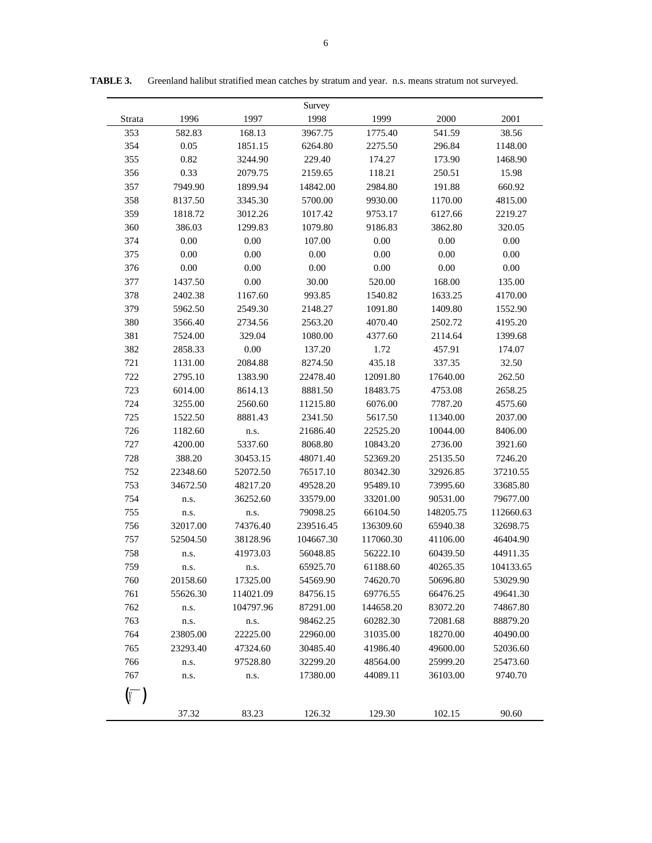|        |          |           | Survey    |           |           |           |
|--------|----------|-----------|-----------|-----------|-----------|-----------|
| Strata | 1996     | 1997      | 1998      | 1999      | 2000      | 2001      |
| 353    | 582.83   | 168.13    | 3967.75   | 1775.40   | 541.59    | 38.56     |
| 354    | 0.05     | 1851.15   | 6264.80   | 2275.50   | 296.84    | 1148.00   |
| 355    | 0.82     | 3244.90   | 229.40    | 174.27    | 173.90    | 1468.90   |
| 356    | 0.33     | 2079.75   | 2159.65   | 118.21    | 250.51    | 15.98     |
| 357    | 7949.90  | 1899.94   | 14842.00  | 2984.80   | 191.88    | 660.92    |
| 358    | 8137.50  | 3345.30   | 5700.00   | 9930.00   | 1170.00   | 4815.00   |
| 359    | 1818.72  | 3012.26   | 1017.42   | 9753.17   | 6127.66   | 2219.27   |
| 360    | 386.03   | 1299.83   | 1079.80   | 9186.83   | 3862.80   | 320.05    |
| 374    | 0.00     | 0.00      | 107.00    | 0.00      | 0.00      | 0.00      |
| 375    | 0.00     | 0.00      | 0.00      | 0.00      | 0.00      | 0.00      |
| 376    | 0.00     | 0.00      | 0.00      | 0.00      | 0.00      | $0.00\,$  |
| 377    | 1437.50  | 0.00      | 30.00     | 520.00    | 168.00    | 135.00    |
| 378    | 2402.38  | 1167.60   | 993.85    | 1540.82   | 1633.25   | 4170.00   |
| 379    | 5962.50  | 2549.30   | 2148.27   | 1091.80   | 1409.80   | 1552.90   |
| 380    | 3566.40  | 2734.56   | 2563.20   | 4070.40   | 2502.72   | 4195.20   |
| 381    | 7524.00  | 329.04    | 1080.00   | 4377.60   | 2114.64   | 1399.68   |
| 382    | 2858.33  | 0.00      | 137.20    | 1.72      | 457.91    | 174.07    |
| 721    | 1131.00  | 2084.88   | 8274.50   | 435.18    | 337.35    | 32.50     |
| 722    | 2795.10  | 1383.90   | 22478.40  | 12091.80  | 17640.00  | 262.50    |
| 723    | 6014.00  | 8614.13   | 8881.50   | 18483.75  | 4753.08   | 2658.25   |
| 724    | 3255.00  | 2560.60   | 11215.80  | 6076.00   | 7787.20   | 4575.60   |
| 725    | 1522.50  | 8881.43   | 2341.50   | 5617.50   | 11340.00  | 2037.00   |
| 726    | 1182.60  | n.s.      | 21686.40  | 22525.20  | 10044.00  | 8406.00   |
| 727    | 4200.00  | 5337.60   | 8068.80   | 10843.20  | 2736.00   | 3921.60   |
| 728    | 388.20   | 30453.15  | 48071.40  | 52369.20  | 25135.50  | 7246.20   |
| 752    | 22348.60 | 52072.50  | 76517.10  | 80342.30  | 32926.85  | 37210.55  |
| 753    | 34672.50 | 48217.20  | 49528.20  | 95489.10  | 73995.60  | 33685.80  |
| 754    | n.s.     | 36252.60  | 33579.00  | 33201.00  | 90531.00  | 79677.00  |
| 755    | n.s.     | n.s.      | 79098.25  | 66104.50  | 148205.75 | 112660.63 |
| 756    | 32017.00 | 74376.40  | 239516.45 | 136309.60 | 65940.38  | 32698.75  |
| 757    | 52504.50 | 38128.96  | 104667.30 | 117060.30 | 41106.00  | 46404.90  |
| 758    | n.s.     | 41973.03  | 56048.85  | 56222.10  | 60439.50  | 44911.35  |
| 759    | n.s.     | n.s.      | 65925.70  | 61188.60  | 40265.35  | 104133.65 |
| 760    | 20158.60 | 17325.00  | 54569.90  | 74620.70  | 50696.80  | 53029.90  |
| 761    | 55626.30 | 114021.09 | 84756.15  | 69776.55  | 66476.25  | 49641.30  |
| 762    | n.s.     | 104797.96 | 87291.00  | 144658.20 | 83072.20  | 74867.80  |
| 763    | n.s.     | n.s.      | 98462.25  | 60282.30  | 72081.68  | 88879.20  |
| 764    | 23805.00 | 22225.00  | 22960.00  | 31035.00  | 18270.00  | 40490.00  |
| 765    | 23293.40 | 47324.60  | 30485.40  | 41986.40  | 49600.00  | 52036.60  |
| 766    | n.s.     | 97528.80  | 32299.20  | 48564.00  | 25999.20  | 25473.60  |
| 767    | n.s.     | n.s.      | 17380.00  | 44089.11  | 36103.00  | 9740.70   |
|        |          |           |           |           |           |           |
| Y      |          |           |           |           |           |           |
|        | 37.32    | 83.23     | 126.32    | 129.30    | 102.15    | 90.60     |

**TABLE 3.** Greenland halibut stratified mean catches by stratum and year. n.s. means stratum not surveyed.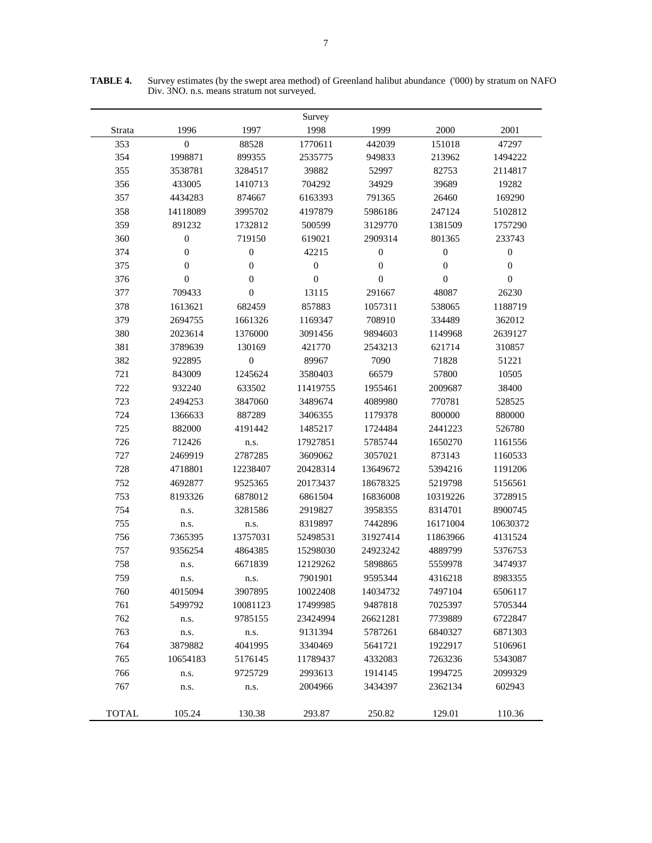|              |                  |                  | Survey           |                  |                  |                  |
|--------------|------------------|------------------|------------------|------------------|------------------|------------------|
| Strata       | 1996             | 1997             | 1998             | 1999             | 2000             | 2001             |
| 353          | $\boldsymbol{0}$ | 88528            | 1770611          | 442039           | 151018           | 47297            |
| 354          | 1998871          | 899355           | 2535775          | 949833           | 213962           | 1494222          |
| 355          | 3538781          | 3284517          | 39882            | 52997            | 82753            | 2114817          |
| 356          | 433005           | 1410713          | 704292           | 34929            | 39689            | 19282            |
| 357          | 4434283          | 874667           | 6163393          | 791365           | 26460            | 169290           |
| 358          | 14118089         | 3995702          | 4197879          | 5986186          | 247124           | 5102812          |
| 359          | 891232           | 1732812          | 500599           | 3129770          | 1381509          | 1757290          |
| 360          | $\boldsymbol{0}$ | 719150           | 619021           | 2909314          | 801365           | 233743           |
| 374          | $\boldsymbol{0}$ | $\boldsymbol{0}$ | 42215            | $\boldsymbol{0}$ | $\boldsymbol{0}$ | $\boldsymbol{0}$ |
| 375          | $\boldsymbol{0}$ | $\boldsymbol{0}$ | $\boldsymbol{0}$ | $\boldsymbol{0}$ | $\mathbf{0}$     | $\boldsymbol{0}$ |
| 376          | $\overline{0}$   | $\boldsymbol{0}$ | $\boldsymbol{0}$ | $\boldsymbol{0}$ | $\boldsymbol{0}$ | $\boldsymbol{0}$ |
| 377          | 709433           | $\boldsymbol{0}$ | 13115            | 291667           | 48087            | 26230            |
| 378          | 1613621          | 682459           | 857883           | 1057311          | 538065           | 1188719          |
| 379          | 2694755          | 1661326          | 1169347          | 708910           | 334489           | 362012           |
| 380          | 2023614          | 1376000          | 3091456          | 9894603          | 1149968          | 2639127          |
| 381          | 3789639          | 130169           | 421770           | 2543213          | 621714           | 310857           |
| 382          | 922895           | $\boldsymbol{0}$ | 89967            | 7090             | 71828            | 51221            |
| 721          | 843009           | 1245624          | 3580403          | 66579            | 57800            | 10505            |
| 722          | 932240           | 633502           | 11419755         | 1955461          | 2009687          | 38400            |
| 723          | 2494253          | 3847060          | 3489674          | 4089980          | 770781           | 528525           |
| 724          | 1366633          | 887289           | 3406355          | 1179378          | 800000           | 880000           |
| 725          | 882000           | 4191442          | 1485217          | 1724484          | 2441223          | 526780           |
| 726          | 712426           | n.s.             | 17927851         | 5785744          | 1650270          | 1161556          |
| 727          | 2469919          | 2787285          | 3609062          | 3057021          | 873143           | 1160533          |
| 728          | 4718801          | 12238407         | 20428314         | 13649672         | 5394216          | 1191206          |
| 752          | 4692877          | 9525365          | 20173437         | 18678325         | 5219798          | 5156561          |
| 753          | 8193326          | 6878012          | 6861504          | 16836008         | 10319226         | 3728915          |
| 754          | n.s.             | 3281586          | 2919827          | 3958355          | 8314701          | 8900745          |
| 755          | n.s.             | n.s.             | 8319897          | 7442896          | 16171004         | 10630372         |
| 756          | 7365395          | 13757031         | 52498531         | 31927414         | 11863966         | 4131524          |
| 757          | 9356254          | 4864385          | 15298030         | 24923242         | 4889799          | 5376753          |
| 758          | n.s.             | 6671839          | 12129262         | 5898865          | 5559978          | 3474937          |
| 759          | n.s.             | n.s.             | 7901901          | 9595344          | 4316218          | 8983355          |
| 760          | 4015094          | 3907895          | 10022408         | 14034732         | 7497104          | 6506117          |
| 761          | 5499792          | 10081123         | 17499985         | 9487818          | 7025397          | 5705344          |
| 762          | n.s.             | 9785155          | 23424994         | 26621281         | 7739889          | 6722847          |
| 763          | n.s.             | n.s.             | 9131394          | 5787261          | 6840327          | 6871303          |
| 764          | 3879882          | 4041995          | 3340469          | 5641721          | 1922917          | 5106961          |
| 765          | 10654183         | 5176145          | 11789437         | 4332083          | 7263236          | 5343087          |
| 766          | n.s.             | 9725729          | 2993613          | 1914145          | 1994725          | 2099329          |
| 767          | n.s.             | n.s.             | 2004966          | 3434397          | 2362134          | 602943           |
| <b>TOTAL</b> | 105.24           | 130.38           | 293.87           | 250.82           | 129.01           | 110.36           |

**TABLE 4.** Survey estimates (by the swept area method) of Greenland halibut abundance ('000) by stratum on NAFO Div. 3NO. n.s. means stratum not surveyed.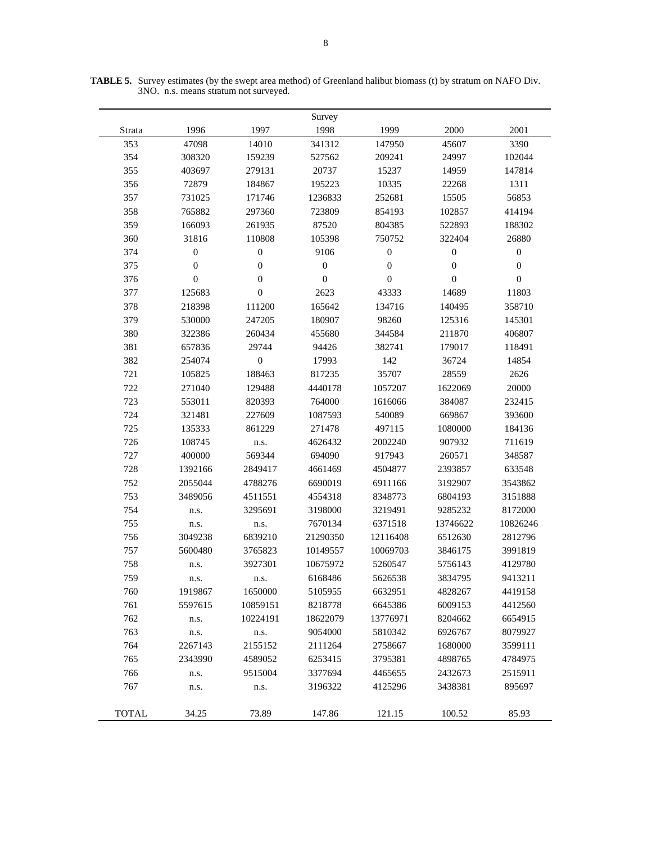|              |                  |                  | Survey           |                  |                  |                  |
|--------------|------------------|------------------|------------------|------------------|------------------|------------------|
| Strata       | 1996             | 1997             | 1998             | 1999             | 2000             | 2001             |
| 353          | 47098            | 14010            | 341312           | 147950           | 45607            | 3390             |
| 354          | 308320           | 159239           | 527562           | 209241           | 24997            | 102044           |
| 355          | 403697           | 279131           | 20737            | 15237            | 14959            | 147814           |
| 356          | 72879            | 184867           | 195223           | 10335            | 22268            | 1311             |
| 357          | 731025           | 171746           | 1236833          | 252681           | 15505            | 56853            |
| 358          | 765882           | 297360           | 723809           | 854193           | 102857           | 414194           |
| 359          | 166093           | 261935           | 87520            | 804385           | 522893           | 188302           |
| 360          | 31816            | 110808           | 105398           | 750752           | 322404           | 26880            |
| 374          | $\boldsymbol{0}$ | $\boldsymbol{0}$ | 9106             | $\boldsymbol{0}$ | $\boldsymbol{0}$ | $\boldsymbol{0}$ |
| 375          | $\boldsymbol{0}$ | $\boldsymbol{0}$ | $\boldsymbol{0}$ | $\boldsymbol{0}$ | $\boldsymbol{0}$ | $\boldsymbol{0}$ |
| 376          | $\boldsymbol{0}$ | $\boldsymbol{0}$ | $\mathbf{0}$     | $\boldsymbol{0}$ | $\mathbf{0}$     | $\mathbf{0}$     |
| 377          | 125683           | $\boldsymbol{0}$ | 2623             | 43333            | 14689            | 11803            |
| 378          | 218398           | 111200           | 165642           | 134716           | 140495           | 358710           |
| 379          | 530000           | 247205           | 180907           | 98260            | 125316           | 145301           |
| 380          | 322386           | 260434           | 455680           | 344584           | 211870           | 406807           |
| 381          | 657836           | 29744            | 94426            | 382741           | 179017           | 118491           |
| 382          | 254074           | $\boldsymbol{0}$ | 17993            | 142              | 36724            | 14854            |
| 721          | 105825           | 188463           | 817235           | 35707            | 28559            | 2626             |
| 722          | 271040           | 129488           | 4440178          | 1057207          | 1622069          | 20000            |
| 723          | 553011           | 820393           | 764000           | 1616066          | 384087           | 232415           |
| 724          | 321481           | 227609           | 1087593          | 540089           | 669867           | 393600           |
| 725          | 135333           | 861229           | 271478           | 497115           | 1080000          | 184136           |
| 726          | 108745           | n.s.             | 4626432          | 2002240          | 907932           | 711619           |
| 727          | 400000           | 569344           | 694090           | 917943           | 260571           | 348587           |
| 728          | 1392166          | 2849417          | 4661469          | 4504877          | 2393857          | 633548           |
| 752          | 2055044          | 4788276          | 6690019          | 6911166          | 3192907          | 3543862          |
| 753          | 3489056          | 4511551          | 4554318          | 8348773          | 6804193          | 3151888          |
| 754          | n.s.             | 3295691          | 3198000          | 3219491          | 9285232          | 8172000          |
| 755          | n.s.             | n.s.             | 7670134          | 6371518          | 13746622         | 10826246         |
| 756          | 3049238          | 6839210          | 21290350         | 12116408         | 6512630          | 2812796          |
| 757          | 5600480          | 3765823          | 10149557         | 10069703         | 3846175          | 3991819          |
| 758          | n.s.             | 3927301          | 10675972         | 5260547          | 5756143          | 4129780          |
| 759          | n.s.             | n.s.             | 6168486          | 5626538          | 3834795          | 9413211          |
| 760          | 1919867          | 1650000          | 5105955          | 6632951          | 4828267          | 4419158          |
| 761          | 5597615          | 10859151         | 8218778          | 6645386          | 6009153          | 4412560          |
| 762          | n.s.             | 10224191         | 18622079         | 13776971         | 8204662          | 6654915          |
| 763          | n.s.             | n.s.             | 9054000          | 5810342          | 6926767          | 8079927          |
| 764          | 2267143          | 2155152          | 2111264          | 2758667          | 1680000          | 3599111          |
| 765          | 2343990          | 4589052          | 6253415          | 3795381          | 4898765          | 4784975          |
| 766          | n.s.             | 9515004          | 3377694          | 4465655          | 2432673          | 2515911          |
| 767          | n.s.             | n.s.             | 3196322          | 4125296          | 3438381          | 895697           |
|              |                  |                  |                  |                  |                  |                  |
| <b>TOTAL</b> | 34.25            | 73.89            | 147.86           | 121.15           | 100.52           | 85.93            |

**TABLE 5.** Survey estimates (by the swept area method) of Greenland halibut biomass (t) by stratum on NAFO Div. 3NO. n.s. means stratum not surveyed.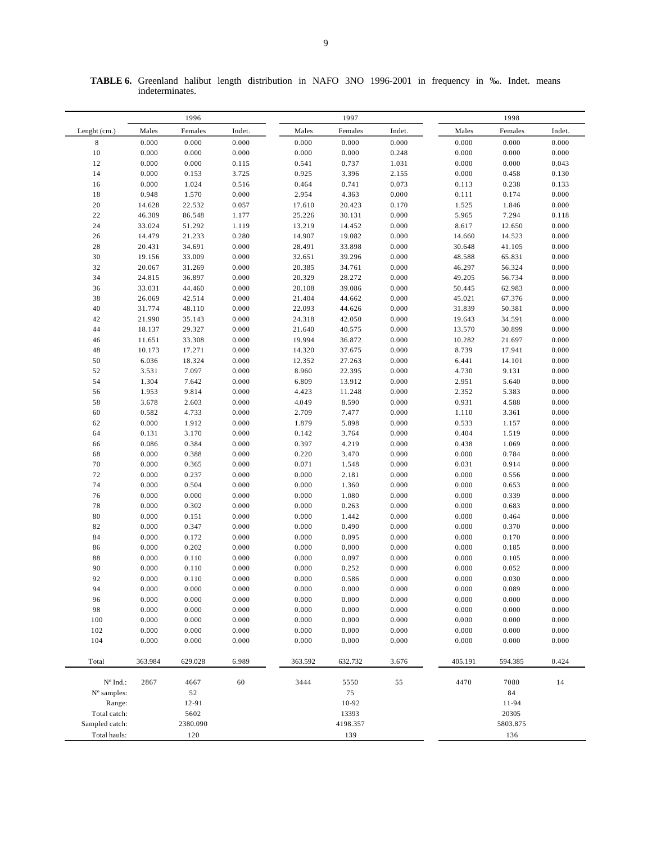|                | 1996<br>1997 |          |        |         |          | 1998   |           |          |        |
|----------------|--------------|----------|--------|---------|----------|--------|-----------|----------|--------|
| Lenght (cm.)   | Males        | Females  | Indet. | Males   | Females  | Indet. | Males     | Females  | Indet. |
| 8              | 0.000        | 0.000    | 0.000  | 0.000   | 0.000    | 0.000  | $0.000\,$ | 0.000    | 0.000  |
| 10             | 0.000        | 0.000    | 0.000  | 0.000   | 0.000    | 0.248  | 0.000     | 0.000    | 0.000  |
| 12             | 0.000        | 0.000    | 0.115  | 0.541   | 0.737    | 1.031  | 0.000     | 0.000    | 0.043  |
| 14             | 0.000        | 0.153    | 3.725  | 0.925   | 3.396    | 2.155  | 0.000     | 0.458    | 0.130  |
| 16             | 0.000        | 1.024    | 0.516  | 0.464   | 0.741    | 0.073  | 0.113     | 0.238    | 0.133  |
| 18             | 0.948        | 1.570    | 0.000  | 2.954   | 4.363    | 0.000  | 0.111     | 0.174    | 0.000  |
| 20             | 14.628       | 22.532   | 0.057  | 17.610  | 20.423   | 0.170  | 1.525     | 1.846    | 0.000  |
| $2\sqrt{2}$    | 46.309       | 86.548   | 1.177  | 25.226  | 30.131   | 0.000  | 5.965     | 7.294    | 0.118  |
| 24             | 33.024       | 51.292   | 1.119  | 13.219  | 14.452   | 0.000  | 8.617     | 12.650   | 0.000  |
| 26             | 14.479       | 21.233   | 0.280  | 14.907  | 19.082   | 0.000  | 14.660    | 14.523   | 0.000  |
| 28             | 20.431       | 34.691   | 0.000  | 28.491  | 33.898   | 0.000  | 30.648    | 41.105   | 0.000  |
| 30             | 19.156       | 33.009   | 0.000  | 32.651  | 39.296   | 0.000  | 48.588    | 65.831   | 0.000  |
| 32             | 20.067       | 31.269   | 0.000  | 20.385  | 34.761   | 0.000  | 46.297    | 56.324   | 0.000  |
| 34             | 24.815       | 36.897   | 0.000  | 20.329  | 28.272   | 0.000  | 49.205    | 56.734   | 0.000  |
| 36             | 33.031       | 44.460   | 0.000  | 20.108  | 39.086   | 0.000  | 50.445    | 62.983   | 0.000  |
| 38             | 26.069       | 42.514   | 0.000  | 21.404  | 44.662   | 0.000  | 45.021    | 67.376   | 0.000  |
| 40             | 31.774       | 48.110   | 0.000  | 22.093  | 44.626   | 0.000  | 31.839    | 50.381   | 0.000  |
| 42             | 21.990       | 35.143   | 0.000  | 24.318  | 42.050   | 0.000  | 19.643    | 34.591   | 0.000  |
| 44             | 18.137       | 29.327   | 0.000  | 21.640  | 40.575   | 0.000  | 13.570    | 30.899   | 0.000  |
| 46             | 11.651       | 33.308   | 0.000  | 19.994  | 36.872   | 0.000  | 10.282    | 21.697   | 0.000  |
| 48             | 10.173       | 17.271   | 0.000  | 14.320  | 37.675   | 0.000  | 8.739     | 17.941   | 0.000  |
| 50             | 6.036        | 18.324   | 0.000  | 12.352  | 27.263   | 0.000  | 6.441     | 14.101   | 0.000  |
| 52             | 3.531        | 7.097    | 0.000  | 8.960   | 22.395   | 0.000  | 4.730     | 9.131    | 0.000  |
| 54             | 1.304        | 7.642    | 0.000  | 6.809   | 13.912   | 0.000  | 2.951     | 5.640    | 0.000  |
| 56             | 1.953        | 9.814    | 0.000  | 4.423   | 11.248   | 0.000  | 2.352     | 5.383    | 0.000  |
| 58             | 3.678        | 2.603    | 0.000  | 4.049   | 8.590    | 0.000  | 0.931     | 4.588    | 0.000  |
| 60             | 0.582        | 4.733    | 0.000  | 2.709   | 7.477    | 0.000  | 1.110     | 3.361    | 0.000  |
| 62             | 0.000        | 1.912    | 0.000  | 1.879   | 5.898    | 0.000  | 0.533     | 1.157    | 0.000  |
| 64             | 0.131        | 3.170    | 0.000  | 0.142   | 3.764    | 0.000  | 0.404     | 1.519    | 0.000  |
| 66             | 0.086        | 0.384    | 0.000  | 0.397   | 4.219    | 0.000  | 0.438     | 1.069    | 0.000  |
| 68             | 0.000        | 0.388    | 0.000  | 0.220   | 3.470    | 0.000  | 0.000     | 0.784    | 0.000  |
| 70             | 0.000        | 0.365    | 0.000  | 0.071   | 1.548    | 0.000  | 0.031     | 0.914    | 0.000  |
| 72             | 0.000        | 0.237    | 0.000  | 0.000   | 2.181    | 0.000  | 0.000     | 0.556    | 0.000  |
| 74             | 0.000        | 0.504    | 0.000  | 0.000   | 1.360    | 0.000  | 0.000     | 0.653    | 0.000  |
| 76             | 0.000        | 0.000    | 0.000  | 0.000   | 1.080    | 0.000  | 0.000     | 0.339    | 0.000  |
| 78             | 0.000        | 0.302    | 0.000  | 0.000   | 0.263    | 0.000  | 0.000     | 0.683    | 0.000  |
| 80             | 0.000        | 0.151    | 0.000  | 0.000   | 1.442    | 0.000  | 0.000     | 0.464    | 0.000  |
| 82             | 0.000        | 0.347    | 0.000  | 0.000   | 0.490    | 0.000  | 0.000     | 0.370    | 0.000  |
| 84             | 0.000        | 0.172    | 0.000  | 0.000   | 0.095    | 0.000  | 0.000     | 0.170    | 0.000  |
| 86             | 0.000        | 0.202    | 0.000  | 0.000   | 0.000    | 0.000  | 0.000     | 0.185    | 0.000  |
| 88             | 0.000        | 0.110    | 0.000  | 0.000   | 0.097    | 0.000  | 0.000     | 0.105    | 0.000  |
| 90             | 0.000        | 0.110    | 0.000  | 0.000   | 0.252    | 0.000  | 0.000     | 0.052    | 0.000  |
| 92             | 0.000        | 0.110    | 0.000  | 0.000   | 0.586    | 0.000  | 0.000     | 0.030    | 0.000  |
| 94             | 0.000        | 0.000    | 0.000  | 0.000   | 0.000    | 0.000  | 0.000     | 0.089    | 0.000  |
| 96             | 0.000        | 0.000    | 0.000  | 0.000   | 0.000    | 0.000  | 0.000     | 0.000    | 0.000  |
| 98             | 0.000        | 0.000    | 0.000  | 0.000   | 0.000    | 0.000  | 0.000     | 0.000    | 0.000  |
| 100            | 0.000        | 0.000    | 0.000  | 0.000   | 0.000    | 0.000  | 0.000     | 0.000    | 0.000  |
| 102            | 0.000        | 0.000    | 0.000  | 0.000   | 0.000    | 0.000  | 0.000     | 0.000    | 0.000  |
| 104            | 0.000        | 0.000    | 0.000  | 0.000   | 0.000    | 0.000  | 0.000     | 0.000    | 0.000  |
| Total          | 363.984      | 629.028  | 6.989  | 363.592 | 632.732  | 3.676  | 405.191   | 594.385  | 0.424  |
|                |              |          |        |         |          |        |           |          |        |
| N° Ind.:       | 2867         | 4667     | 60     | 3444    | 5550     | 55     | 4470      | 7080     | 14     |
| N° samples:    |              | 52       |        |         | 75       |        |           | 84       |        |
| Range:         |              | 12-91    |        |         | 10-92    |        |           | 11-94    |        |
| Total catch:   |              | 5602     |        |         | 13393    |        |           | 20305    |        |
| Sampled catch: |              | 2380.090 |        |         | 4198.357 |        |           | 5803.875 |        |
| Total hauls:   |              | 120      |        |         | 139      |        |           | 136      |        |

**TABLE 6.** Greenland halibut length distribution in NAFO 3NO 1996-2001 in frequency in ‰. Indet. means indeterminates.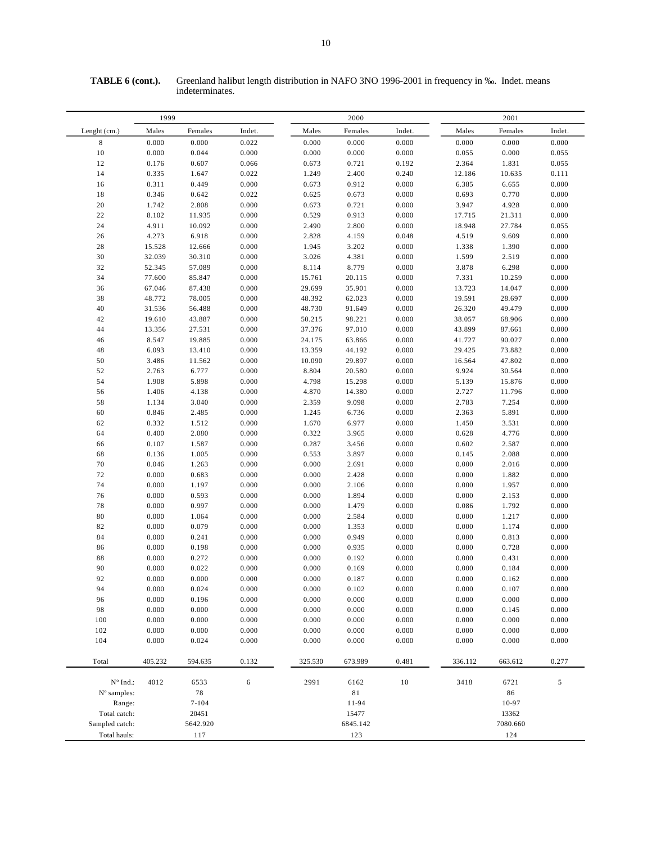| 1999           |         |           |            |         | 2000     |        |         | 2001     |        |  |  |
|----------------|---------|-----------|------------|---------|----------|--------|---------|----------|--------|--|--|
| Lenght (cm.)   | Males   | Females   | Indet.     | Males   | Females  | Indet. | Males   | Females  | Indet. |  |  |
| $\,$ 8 $\,$    | 0.000   | 0.000     | 0.022      | 0.000   | 0.000    | 0.000  | 0.000   | 0.000    | 0.000  |  |  |
| $10\,$         | 0.000   | 0.044     | 0.000      | 0.000   | 0.000    | 0.000  | 0.055   | 0.000    | 0.055  |  |  |
| 12             | 0.176   | 0.607     | 0.066      | 0.673   | 0.721    | 0.192  | 2.364   | 1.831    | 0.055  |  |  |
| 14             | 0.335   | 1.647     | 0.022      | 1.249   | 2.400    | 0.240  | 12.186  | 10.635   | 0.111  |  |  |
| 16             | 0.311   | 0.449     | 0.000      | 0.673   | 0.912    | 0.000  | 6.385   | 6.655    | 0.000  |  |  |
| $1\,8$         | 0.346   | 0.642     | 0.022      | 0.625   | 0.673    | 0.000  | 0.693   | 0.770    | 0.000  |  |  |
| $20\,$         | 1.742   | 2.808     | 0.000      | 0.673   | 0.721    | 0.000  | 3.947   | 4.928    | 0.000  |  |  |
| $2\sqrt{2}$    | 8.102   | 11.935    | 0.000      | 0.529   | 0.913    | 0.000  | 17.715  | 21.311   | 0.000  |  |  |
| 24             | 4.911   | 10.092    | 0.000      | 2.490   | 2.800    | 0.000  | 18.948  | 27.784   | 0.055  |  |  |
| 26             | 4.273   | 6.918     | 0.000      | 2.828   | 4.159    | 0.048  | 4.519   | 9.609    | 0.000  |  |  |
| $2\sqrt{8}$    | 15.528  | 12.666    | 0.000      | 1.945   | 3.202    | 0.000  | 1.338   | 1.390    | 0.000  |  |  |
| 30             | 32.039  | 30.310    | 0.000      | 3.026   | 4.381    | 0.000  | 1.599   | 2.519    | 0.000  |  |  |
| 32             | 52.345  | 57.089    | 0.000      | 8.114   | 8.779    | 0.000  | 3.878   | 6.298    | 0.000  |  |  |
| 34             | 77.600  | 85.847    | 0.000      | 15.761  | 20.115   | 0.000  | 7.331   | 10.259   | 0.000  |  |  |
| 36             | 67.046  | 87.438    | 0.000      | 29.699  | 35.901   | 0.000  | 13.723  | 14.047   | 0.000  |  |  |
| 38             | 48.772  | 78.005    | 0.000      | 48.392  | 62.023   | 0.000  | 19.591  | 28.697   | 0.000  |  |  |
| 40             | 31.536  | 56.488    | 0.000      | 48.730  | 91.649   | 0.000  | 26.320  | 49.479   | 0.000  |  |  |
| 42             | 19.610  | 43.887    | 0.000      | 50.215  | 98.221   | 0.000  | 38.057  | 68.906   | 0.000  |  |  |
| 44             | 13.356  | 27.531    | 0.000      | 37.376  | 97.010   | 0.000  | 43.899  | 87.661   | 0.000  |  |  |
| 46             | 8.547   | 19.885    | 0.000      | 24.175  | 63.866   | 0.000  | 41.727  | 90.027   | 0.000  |  |  |
| 48             | 6.093   | 13.410    | 0.000      | 13.359  | 44.192   | 0.000  | 29.425  | 73.882   | 0.000  |  |  |
| 50             | 3.486   | 11.562    | 0.000      | 10.090  | 29.897   | 0.000  | 16.564  | 47.802   | 0.000  |  |  |
| 52             | 2.763   | 6.777     | 0.000      | 8.804   | 20.580   | 0.000  | 9.924   | 30.564   | 0.000  |  |  |
| 54             | 1.908   | 5.898     | 0.000      | 4.798   | 15.298   | 0.000  | 5.139   | 15.876   | 0.000  |  |  |
| 56             | 1.406   | 4.138     | 0.000      | 4.870   | 14.380   | 0.000  | 2.727   | 11.796   | 0.000  |  |  |
| 58             | 1.134   | 3.040     | 0.000      | 2.359   | 9.098    | 0.000  | 2.783   | 7.254    | 0.000  |  |  |
| 60             | 0.846   | 2.485     | 0.000      | 1.245   | 6.736    | 0.000  | 2.363   | 5.891    | 0.000  |  |  |
| 62             | 0.332   | 1.512     | 0.000      | 1.670   | 6.977    | 0.000  | 1.450   | 3.531    | 0.000  |  |  |
| 64             | 0.400   | 2.080     | 0.000      | 0.322   | 3.965    | 0.000  | 0.628   | 4.776    | 0.000  |  |  |
| 66             | 0.107   | 1.587     | 0.000      | 0.287   | 3.456    | 0.000  | 0.602   | 2.587    | 0.000  |  |  |
| 68             | 0.136   | 1.005     | 0.000      | 0.553   | 3.897    | 0.000  | 0.145   | 2.088    | 0.000  |  |  |
| $70\,$         | 0.046   | 1.263     | 0.000      | 0.000   | 2.691    | 0.000  | 0.000   | 2.016    | 0.000  |  |  |
| $72\,$         | 0.000   | 0.683     | 0.000      | 0.000   | 2.428    | 0.000  | 0.000   | 1.882    | 0.000  |  |  |
| $74\,$         | 0.000   | 1.197     | 0.000      | 0.000   | 2.106    | 0.000  | 0.000   | 1.957    | 0.000  |  |  |
| 76             | 0.000   | 0.593     | 0.000      | 0.000   | 1.894    | 0.000  | 0.000   | 2.153    | 0.000  |  |  |
| $7\,$          | 0.000   | 0.997     | 0.000      | 0.000   | 1.479    | 0.000  | 0.086   | 1.792    | 0.000  |  |  |
| 80             | 0.000   | 1.064     | 0.000      | 0.000   | 2.584    | 0.000  | 0.000   | 1.217    | 0.000  |  |  |
| 82             | 0.000   | 0.079     | 0.000      | 0.000   | 1.353    | 0.000  | 0.000   | 1.174    | 0.000  |  |  |
| $\bf 84$       | 0.000   | 0.241     | 0.000      | 0.000   | 0.949    | 0.000  | 0.000   | 0.813    | 0.000  |  |  |
| 86             | 0.000   | 0.198     | 0.000      | 0.000   | 0.935    | 0.000  | 0.000   | 0.728    | 0.000  |  |  |
| 88             | 0.000   | 0.272     | 0.000      | 0.000   | 0.192    | 0.000  | 0.000   | 0.431    | 0.000  |  |  |
| 90             | 0.000   | 0.022     | 0.000      | 0.000   | 0.169    | 0.000  | 0.000   | 0.184    | 0.000  |  |  |
| 92             | 0.000   | 0.000     | 0.000      | 0.000   | 0.187    | 0.000  | 0.000   | 0.162    | 0.000  |  |  |
| 94             | 0.000   | 0.024     | 0.000      | 0.000   | 0.102    | 0.000  | 0.000   | 0.107    | 0.000  |  |  |
| 96             | 0.000   | 0.196     | 0.000      | 0.000   | 0.000    | 0.000  | 0.000   | 0.000    | 0.000  |  |  |
| 98             | 0.000   | 0.000     | 0.000      | 0.000   | 0.000    | 0.000  | 0.000   | 0.145    | 0.000  |  |  |
| 100            | 0.000   | 0.000     | 0.000      | 0.000   | 0.000    | 0.000  | 0.000   | 0.000    | 0.000  |  |  |
| 102            | 0.000   | 0.000     | 0.000      | 0.000   | 0.000    | 0.000  | 0.000   | 0.000    | 0.000  |  |  |
| 104            | 0.000   | 0.024     | 0.000      | 0.000   | 0.000    | 0.000  | 0.000   | 0.000    | 0.000  |  |  |
| Total          | 405.232 | 594.635   | 0.132      | 325.530 | 673.989  | 0.481  | 336.112 | 663.612  | 0.277  |  |  |
|                |         |           |            |         |          |        |         |          |        |  |  |
| N° Ind.:       | 4012    | 6533      | $\epsilon$ | 2991    | 6162     | $10\,$ | 3418    | 6721     | 5      |  |  |
| N° samples:    |         | 78        |            |         | 81       |        |         | 86       |        |  |  |
| Range:         |         | $7 - 104$ |            |         | 11-94    |        |         | 10-97    |        |  |  |
| Total catch:   |         | 20451     |            |         | 15477    |        |         | 13362    |        |  |  |
| Sampled catch: |         | 5642.920  |            |         | 6845.142 |        |         | 7080.660 |        |  |  |
| Total hauls:   |         | 117       |            |         | 123      |        |         | 124      |        |  |  |

**TABLE 6 (cont.).** Greenland halibut length distribution in NAFO 3NO 1996-2001 in frequency in ‰. Indet. means indeterminates.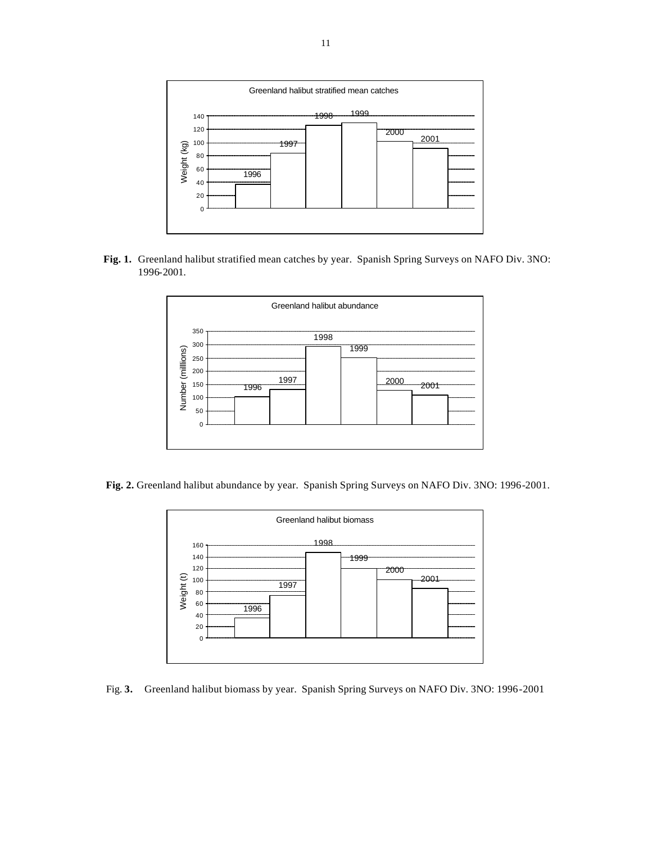

 **Fig. 1.** Greenland halibut stratified mean catches by year. Spanish Spring Surveys on NAFO Div. 3NO: 1996-2001.



 **Fig. 2.** Greenland halibut abundance by year. Spanish Spring Surveys on NAFO Div. 3NO: 1996-2001.



Fig. **3.** Greenland halibut biomass by year. Spanish Spring Surveys on NAFO Div. 3NO: 1996-2001